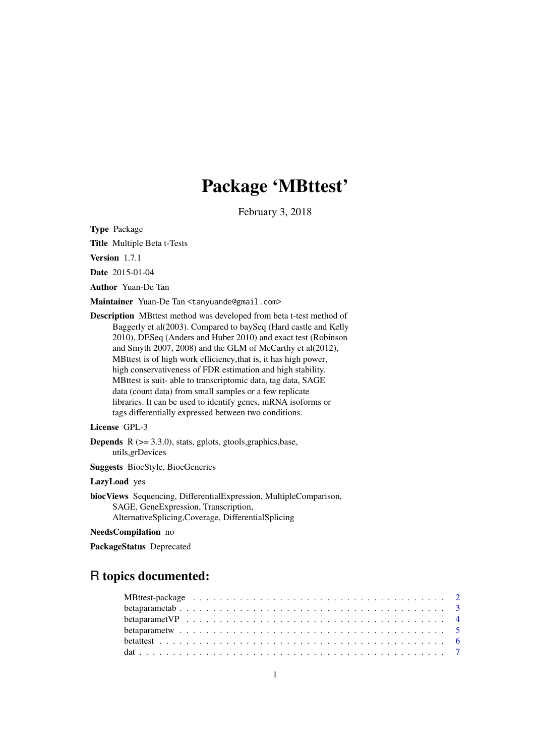# Package 'MBttest'

February 3, 2018

<span id="page-0-0"></span>Type Package

Title Multiple Beta t-Tests

Version 1.7.1

Date 2015-01-04

Author Yuan-De Tan

Maintainer Yuan-De Tan <tanyuande@gmail.com>

Description MBttest method was developed from beta t-test method of Baggerly et al(2003). Compared to baySeq (Hard castle and Kelly 2010), DESeq (Anders and Huber 2010) and exact test (Robinson and Smyth 2007, 2008) and the GLM of McCarthy et al(2012), MBttest is of high work efficiency,that is, it has high power, high conservativeness of FDR estimation and high stability. MBttest is suit- able to transcriptomic data, tag data, SAGE data (count data) from small samples or a few replicate libraries. It can be used to identify genes, mRNA isoforms or tags differentially expressed between two conditions.

# License GPL-3

**Depends**  $R$  ( $>= 3.3.0$ ), stats, gplots, gtools, graphics, base, utils,grDevices

Suggests BiocStyle, BiocGenerics

#### LazyLoad yes

biocViews Sequencing, DifferentialExpression, MultipleComparison, SAGE, GeneExpression, Transcription, AlternativeSplicing,Coverage, DifferentialSplicing

# NeedsCompilation no

PackageStatus Deprecated

# R topics documented: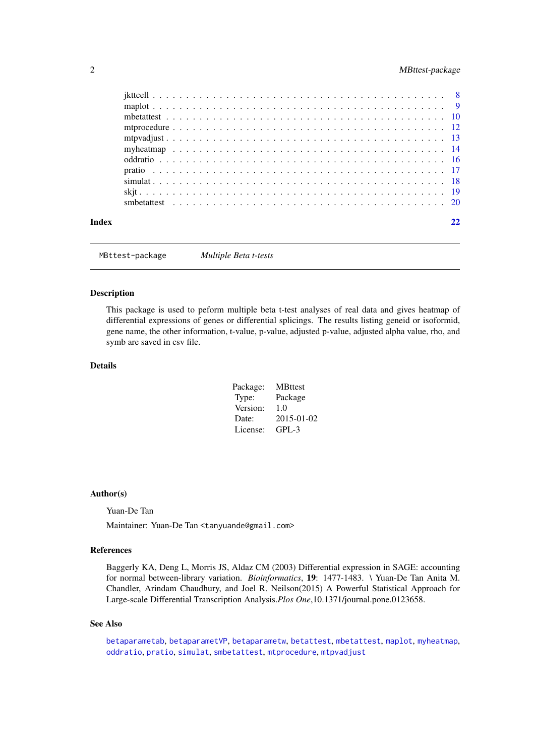# <span id="page-1-0"></span>2 a material contract the contract of the MBttest-package of the MBttest-package

| Index |  |  |  |  |  |  |  |  |  |  |  |  |  |  |  |  |  |  |  |  |  |
|-------|--|--|--|--|--|--|--|--|--|--|--|--|--|--|--|--|--|--|--|--|--|

MBttest-package *Multiple Beta t-tests*

#### Description

This package is used to peform multiple beta t-test analyses of real data and gives heatmap of differential expressions of genes or differential splicings. The results listing geneid or isoformid, gene name, the other information, t-value, p-value, adjusted p-value, adjusted alpha value, rho, and symb are saved in csv file.

# Details

| Package: | <b>MBttest</b> |
|----------|----------------|
| Type:    | Package        |
| Version: | 1.0            |
| Date:    | 2015-01-02     |
| License: | GPL-3          |

#### Author(s)

Yuan-De Tan

Maintainer: Yuan-De Tan <tanyuande@gmail.com>

# References

Baggerly KA, Deng L, Morris JS, Aldaz CM (2003) Differential expression in SAGE: accounting for normal between-library variation. *Bioinformatics*, 19: 1477-1483. \ Yuan-De Tan Anita M. Chandler, Arindam Chaudhury, and Joel R. Neilson(2015) A Powerful Statistical Approach for Large-scale Differential Transcription Analysis.*Plos One*,10.1371/journal.pone.0123658.

# See Also

[betaparametab](#page-2-1), [betaparametVP](#page-3-1), [betaparametw](#page-4-1), [betattest](#page-5-1), [mbetattest](#page-9-1), [maplot](#page-8-1), [myheatmap](#page-13-1), [oddratio](#page-15-1), [pratio](#page-16-1), [simulat](#page-17-1), [smbetattest](#page-19-1), [mtprocedure](#page-11-1), [mtpvadjust](#page-12-1)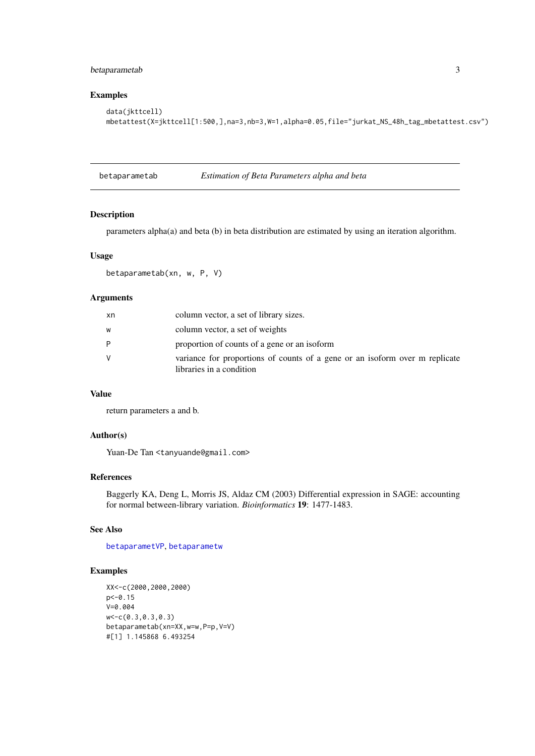#### <span id="page-2-0"></span>betaparametab 3

# Examples

```
data(jkttcell)
mbetattest(X=jkttcell[1:500,],na=3,nb=3,W=1,alpha=0.05,file="jurkat_NS_48h_tag_mbetattest.csv")
```
<span id="page-2-1"></span>betaparametab *Estimation of Beta Parameters alpha and beta*

# Description

parameters alpha(a) and beta (b) in beta distribution are estimated by using an iteration algorithm.

#### Usage

betaparametab(xn, w, P, V)

# Arguments

| xn | column vector, a set of library sizes.                                                                  |
|----|---------------------------------------------------------------------------------------------------------|
| W  | column vector, a set of weights                                                                         |
| P  | proportion of counts of a gene or an isoform                                                            |
| v  | variance for proportions of counts of a gene or an isoform over m replicate<br>libraries in a condition |

#### Value

return parameters a and b.

#### Author(s)

Yuan-De Tan <tanyuande@gmail.com>

#### References

Baggerly KA, Deng L, Morris JS, Aldaz CM (2003) Differential expression in SAGE: accounting for normal between-library variation. *Bioinformatics* 19: 1477-1483.

# See Also

[betaparametVP](#page-3-1), [betaparametw](#page-4-1)

# Examples

```
XX<-c(2000,2000,2000)
p<-0.15
V=0.004
w<-c(0.3,0.3,0.3)
betaparametab(xn=XX,w=w,P=p,V=V)
#[1] 1.145868 6.493254
```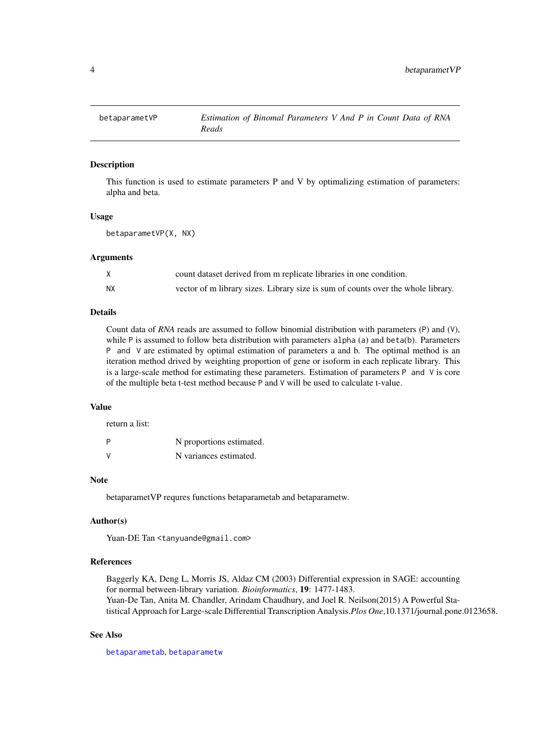<span id="page-3-1"></span><span id="page-3-0"></span>

#### Description

This function is used to estimate parameters P and V by optimalizing estimation of parameters: alpha and beta.

#### Usage

```
betaparametVP(X, NX)
```
#### Arguments

|           | count dataset derived from m replicate libraries in one condition.               |
|-----------|----------------------------------------------------------------------------------|
| <b>NX</b> | vector of m library sizes. Library size is sum of counts over the whole library. |

# Details

Count data of *RNA* reads are assumed to follow binomial distribution with parameters (P) and (V), while P is assumed to follow beta distribution with parameters alpha (a) and beta(b). Parameters P and V are estimated by optimal estimation of parameters a and b. The optimal method is an iteration method drived by weighting proportion of gene or isoform in each replicate library. This is a large-scale method for estimating these parameters. Estimation of parameters P and V is core of the multiple beta t-test method because P and V will be used to calculate t-value.

# Value

return a list:

| P | N proportions estimated. |
|---|--------------------------|
| v | N variances estimated.   |

#### Note

betaparametVP requres functions betaparametab and betaparametw.

#### Author(s)

Yuan-DE Tan <tanyuande@gmail.com>

#### References

Baggerly KA, Deng L, Morris JS, Aldaz CM (2003) Differential expression in SAGE: accounting for normal between-library variation. *Bioinformatics*, 19: 1477-1483. Yuan-De Tan, Anita M. Chandler, Arindam Chaudhury, and Joel R. Neilson(2015) A Powerful Statistical Approach for Large-scale Differential Transcription Analysis.*Plos One*,10.1371/journal.pone.0123658.

# See Also

[betaparametab](#page-2-1), [betaparametw](#page-4-1)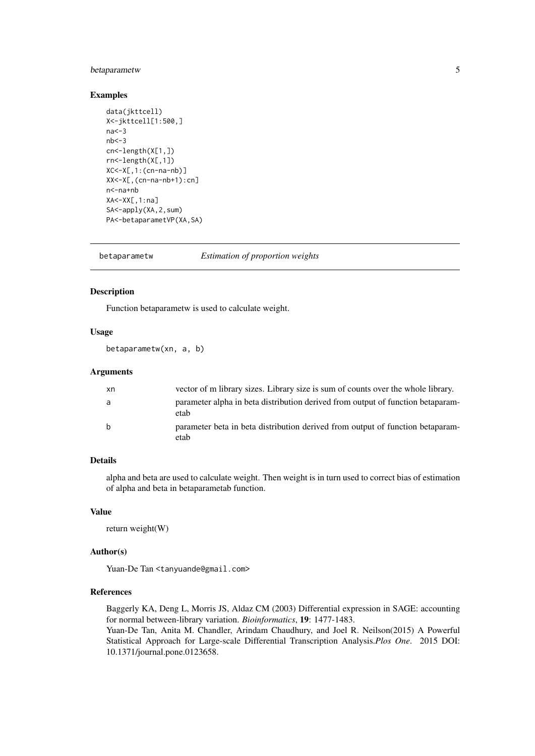#### <span id="page-4-0"></span>betaparametw 5

### Examples

```
data(jkttcell)
X<-jkttcell[1:500,]
na < -3nb < -3cn<-length(X[1,])
rn<-length(X[,1])
XC<-X[,1:(cn-na-nb)]
XX<-X[,(cn-na-nb+1):cn]
n<-na+nb
XA<-XX[,1:na]
SA<-apply(XA,2,sum)
PA<-betaparametVP(XA,SA)
```
<span id="page-4-1"></span>betaparametw *Estimation of proportion weights*

# Description

Function betaparametw is used to calculate weight.

# Usage

betaparametw(xn, a, b)

#### Arguments

| xn           | vector of m library sizes. Library size is sum of counts over the whole library.        |
|--------------|-----------------------------------------------------------------------------------------|
| a            | parameter alpha in beta distribution derived from output of function betaparam-<br>etab |
| <sub>b</sub> | parameter beta in beta distribution derived from output of function betaparam-<br>etab  |

#### Details

alpha and beta are used to calculate weight. Then weight is in turn used to correct bias of estimation of alpha and beta in betaparametab function.

#### Value

return weight(W)

#### Author(s)

Yuan-De Tan <tanyuande@gmail.com>

#### References

Baggerly KA, Deng L, Morris JS, Aldaz CM (2003) Differential expression in SAGE: accounting for normal between-library variation. *Bioinformatics*, 19: 1477-1483. Yuan-De Tan, Anita M. Chandler, Arindam Chaudhury, and Joel R. Neilson(2015) A Powerful Statistical Approach for Large-scale Differential Transcription Analysis.*Plos One*. 2015 DOI: 10.1371/journal.pone.0123658.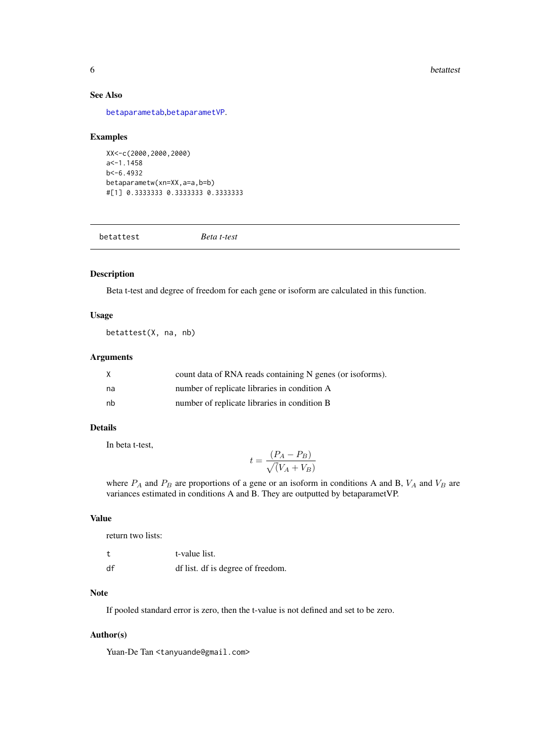<span id="page-5-0"></span>6 betattest and the control of the control of the control of the control of the control of the control of the control of the control of the control of the control of the control of the control of the control of the control

### See Also

[betaparametab](#page-2-1),[betaparametVP](#page-3-1).

# Examples

```
XX<-c(2000,2000,2000)
a < -1.1458b<-6.4932
betaparametw(xn=XX,a=a,b=b)
#[1] 0.3333333 0.3333333 0.3333333
```
<span id="page-5-1"></span>betattest *Beta t-test*

#### Description

Beta t-test and degree of freedom for each gene or isoform are calculated in this function.

# Usage

betattest(X, na, nb)

#### Arguments

|    | count data of RNA reads containing N genes (or isoforms). |
|----|-----------------------------------------------------------|
| na | number of replicate libraries in condition A              |
| nb | number of replicate libraries in condition B              |

# Details

In beta t-test,

$$
t = \frac{(P_A - P_B)}{\sqrt{(V_A + V_B)}}
$$

where  $P_A$  and  $P_B$  are proportions of a gene or an isoform in conditions A and B,  $V_A$  and  $V_B$  are variances estimated in conditions A and B. They are outputted by betaparametVP.

#### Value

| return two lists: |                                   |
|-------------------|-----------------------------------|
|                   | t-value list.                     |
| df                | df list. df is degree of freedom. |

#### Note

If pooled standard error is zero, then the t-value is not defined and set to be zero.

# Author(s)

Yuan-De Tan <tanyuande@gmail.com>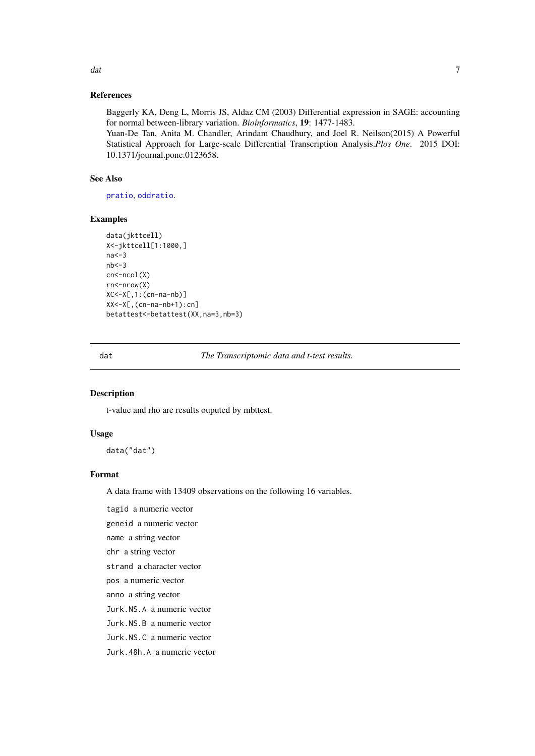<span id="page-6-0"></span>dat and the contract of the contract of the contract of the contract of the contract of the contract of the contract of the contract of the contract of the contract of the contract of the contract of the contract of the co

#### References

Baggerly KA, Deng L, Morris JS, Aldaz CM (2003) Differential expression in SAGE: accounting for normal between-library variation. *Bioinformatics*, 19: 1477-1483.

Yuan-De Tan, Anita M. Chandler, Arindam Chaudhury, and Joel R. Neilson(2015) A Powerful Statistical Approach for Large-scale Differential Transcription Analysis.*Plos One*. 2015 DOI: 10.1371/journal.pone.0123658.

# See Also

[pratio](#page-16-1), [oddratio](#page-15-1).

#### Examples

```
data(jkttcell)
X<-jkttcell[1:1000,]
na < -3nb < -3cn < -ncol(X)rn<-nrow(X)
XC<-X[,1:(cn-na-nb)]
XX<-X[,(cn-na-nb+1):cn]
betattest<-betattest(XX,na=3,nb=3)
```
dat *The Transcriptomic data and t-test results.*

# Description

t-value and rho are results ouputed by mbttest.

#### Usage

data("dat")

# Format

A data frame with 13409 observations on the following 16 variables.

tagid a numeric vector

geneid a numeric vector

name a string vector

chr a string vector

strand a character vector

pos a numeric vector

anno a string vector

Jurk.NS.A a numeric vector

Jurk.NS.B a numeric vector

Jurk.NS.C a numeric vector

Jurk.48h.A a numeric vector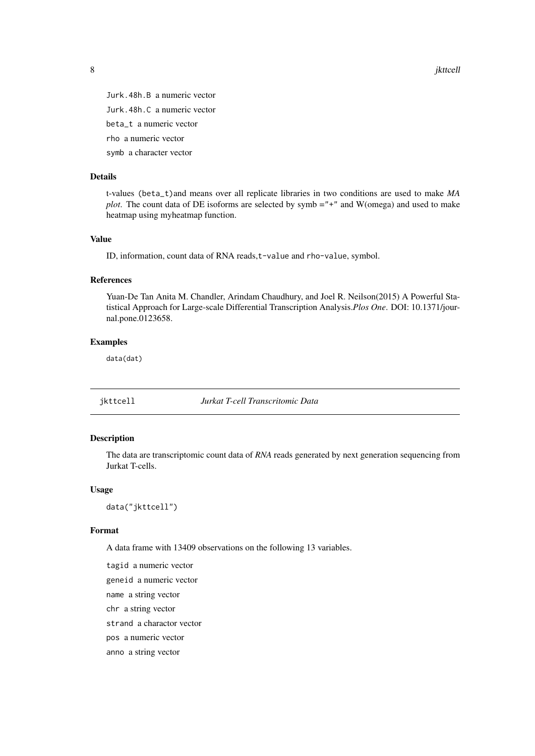8 *iktcell* 

Jurk.48h.B a numeric vector Jurk.48h.C a numeric vector beta\_t a numeric vector rho a numeric vector

symb a character vector

# Details

t-values (beta\_t)and means over all replicate libraries in two conditions are used to make *MA plot*. The count data of DE isoforms are selected by symb ="+" and W(omega) and used to make heatmap using myheatmap function.

#### Value

ID, information, count data of RNA reads, t-value and rho-value, symbol.

# References

Yuan-De Tan Anita M. Chandler, Arindam Chaudhury, and Joel R. Neilson(2015) A Powerful Statistical Approach for Large-scale Differential Transcription Analysis.*Plos One*. DOI: 10.1371/journal.pone.0123658.

#### Examples

data(dat)

jkttcell *Jurkat T-cell Transcritomic Data*

#### Description

The data are transcriptomic count data of *RNA* reads generated by next generation sequencing from Jurkat T-cells.

# Usage

data("jkttcell")

#### Format

A data frame with 13409 observations on the following 13 variables.

tagid a numeric vector geneid a numeric vector name a string vector chr a string vector strand a charactor vector pos a numeric vector anno a string vector

<span id="page-7-0"></span>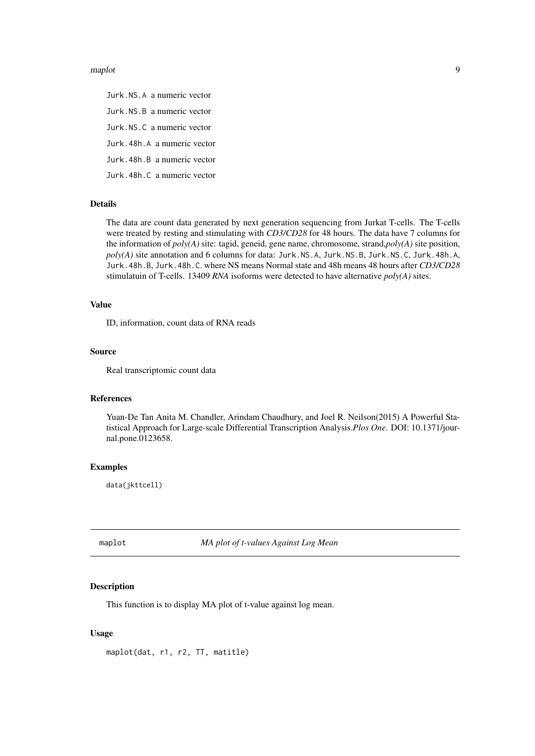#### <span id="page-8-0"></span>maplot the contract of the contract of the contract of the contract of the contract of the contract of the contract of the contract of the contract of the contract of the contract of the contract of the contract of the con

Jurk.NS.A a numeric vector Jurk.NS.B a numeric vector Jurk.NS.C a numeric vector Jurk.48h.A a numeric vector Jurk.48h.B a numeric vector Jurk.48h.C a numeric vector

# Details

The data are count data generated by next generation sequencing from Jurkat T-cells. The T-cells were treated by resting and stimulating with *CD3/CD28* for 48 hours. The data have 7 columns for the information of *poly(A)* site: tagid, geneid, gene name, chromosome, strand,*poly(A)* site position, *poly(A)* site annotation and 6 columns for data: Jurk.NS.A, Jurk.NS.B, Jurk.NS.C, Jurk.48h.A, Jurk.48h.B, Jurk.48h.C. where NS means Normal state and 48h means 48 hours after *CD3/CD28* stimulatuin of T-cells. 13409 *RNA* isoforms were detected to have alternative *poly(A)* sites.

#### Value

ID, information, count data of RNA reads

#### Source

Real transcriptomic count data

# References

Yuan-De Tan Anita M. Chandler, Arindam Chaudhury, and Joel R. Neilson(2015) A Powerful Statistical Approach for Large-scale Differential Transcription Analysis.*Plos One*. DOI: 10.1371/journal.pone.0123658.

# Examples

data(jkttcell)

<span id="page-8-1"></span>maplot *MA plot of t-values Against Log Mean*

#### Description

This function is to display MA plot of t-value against log mean.

# Usage

maplot(dat, r1, r2, TT, matitle)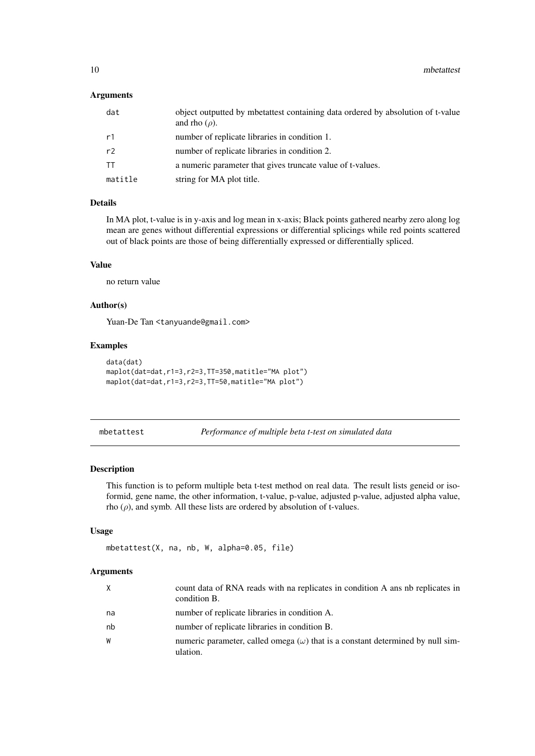<span id="page-9-0"></span>10 mbetattest and the metal of the metal of the metal of the metal of the metal of the metal of the metal of the metal of the metal of the metal of the metal of the metal of the metal of the metal of the metal of the metal

# Arguments

| dat       | object outputted by mbetattest containing data ordered by absolution of t-value<br>and rho $(\rho)$ . |
|-----------|-------------------------------------------------------------------------------------------------------|
| r1        | number of replicate libraries in condition 1.                                                         |
| r2        | number of replicate libraries in condition 2.                                                         |
| <b>TT</b> | a numeric parameter that gives truncate value of t-values.                                            |
| matitle   | string for MA plot title.                                                                             |

# Details

In MA plot, t-value is in y-axis and log mean in x-axis; Black points gathered nearby zero along log mean are genes without differential expressions or differential splicings while red points scattered out of black points are those of being differentially expressed or differentially spliced.

# Value

no return value

# Author(s)

Yuan-De Tan <tanyuande@gmail.com>

# Examples

```
data(dat)
maplot(dat=dat,r1=3,r2=3,TT=350,matitle="MA plot")
maplot(dat=dat,r1=3,r2=3,TT=50,matitle="MA plot")
```
<span id="page-9-1"></span>mbetattest *Performance of multiple beta t-test on simulated data*

#### Description

This function is to peform multiple beta t-test method on real data. The result lists geneid or isoformid, gene name, the other information, t-value, p-value, adjusted p-value, adjusted alpha value, rho  $(\rho)$ , and symb. All these lists are ordered by absolution of t-values.

# Usage

```
mbetattest(X, na, nb, W, alpha=0.05, file)
```
# Arguments

| $\times$ | count data of RNA reads with na replicates in condition A ans nb replicates in<br>condition B.    |
|----------|---------------------------------------------------------------------------------------------------|
| na       | number of replicate libraries in condition A.                                                     |
| nb       | number of replicate libraries in condition B.                                                     |
| W        | numeric parameter, called omega $(\omega)$ that is a constant determined by null sim-<br>ulation. |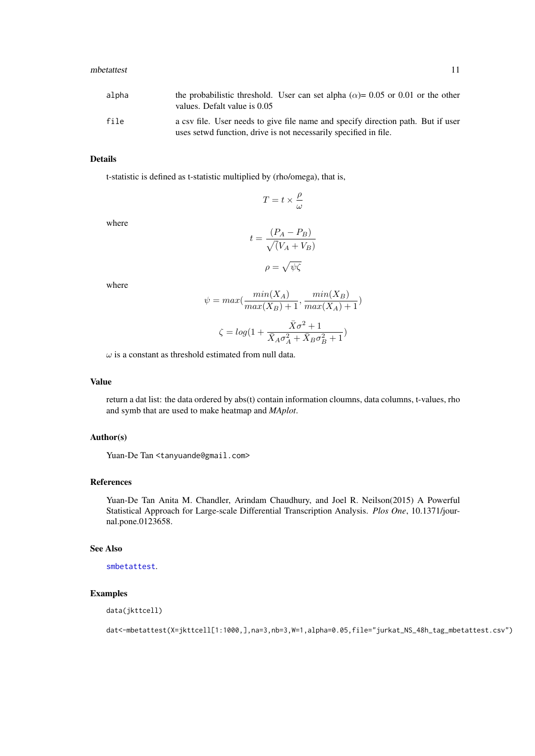#### <span id="page-10-0"></span>mbetattest 11

| alpha | the probabilistic threshold. User can set alpha ( $\alpha$ )= 0.05 or 0.01 or the other<br>values. Defalt value is 0.05                              |
|-------|------------------------------------------------------------------------------------------------------------------------------------------------------|
| file  | a csv file. User needs to give file name and specify direction path. But if user<br>uses setwd function, drive is not necessarily specified in file. |

#### Details

t-statistic is defined as t-statistic multiplied by (rho/omega), that is,

$$
T=t\times \frac{\rho}{\omega}
$$

where

$$
t = \frac{(P_A - P_B)}{\sqrt{(V_A + V_B)}}
$$

$$
\rho = \sqrt{\psi \zeta}
$$

where

$$
\psi = \max(\frac{\min(X_A)}{\max(X_B) + 1}, \frac{\min(X_B)}{\max(X_A) + 1})
$$

$$
\zeta = \log(1 + \frac{\bar{X}\sigma^2 + 1}{\bar{X}_A\sigma_A^2 + \bar{X}_B\sigma_B^2 + 1})
$$

 $\omega$  is a constant as threshold estimated from null data.

# Value

return a dat list: the data ordered by abs(t) contain information cloumns, data columns, t-values, rho and symb that are used to make heatmap and *MAplot*.

#### Author(s)

Yuan-De Tan <tanyuande@gmail.com>

#### References

Yuan-De Tan Anita M. Chandler, Arindam Chaudhury, and Joel R. Neilson(2015) A Powerful Statistical Approach for Large-scale Differential Transcription Analysis. *Plos One*, 10.1371/journal.pone.0123658.

# See Also

[smbetattest](#page-19-1).

# Examples

data(jkttcell)

dat<-mbetattest(X=jkttcell[1:1000,],na=3,nb=3,W=1,alpha=0.05,file="jurkat\_NS\_48h\_tag\_mbetattest.csv")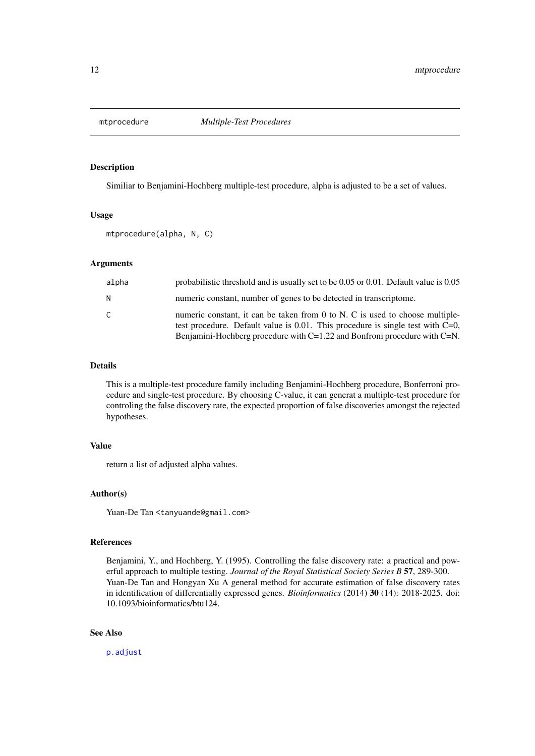<span id="page-11-1"></span><span id="page-11-0"></span>

# Description

Similiar to Benjamini-Hochberg multiple-test procedure, alpha is adjusted to be a set of values.

# Usage

mtprocedure(alpha, N, C)

#### Arguments

| alpha        | probabilistic threshold and is usually set to be $0.05$ or $0.01$ . Default value is $0.05$                                                                                                                                                         |
|--------------|-----------------------------------------------------------------------------------------------------------------------------------------------------------------------------------------------------------------------------------------------------|
| N            | numeric constant, number of genes to be detected in transcriptome.                                                                                                                                                                                  |
| $\mathsf{C}$ | numeric constant, it can be taken from 0 to N. C is used to choose multiple-<br>test procedure. Default value is $0.01$ . This procedure is single test with C=0,<br>Benjamini-Hochberg procedure with $C=1.22$ and Bonfroni procedure with $C=N$ . |

#### Details

This is a multiple-test procedure family including Benjamini-Hochberg procedure, Bonferroni procedure and single-test procedure. By choosing C-value, it can generat a multiple-test procedure for controling the false discovery rate, the expected proportion of false discoveries amongst the rejected hypotheses.

# Value

return a list of adjusted alpha values.

#### Author(s)

Yuan-De Tan <tanyuande@gmail.com>

#### References

Benjamini, Y., and Hochberg, Y. (1995). Controlling the false discovery rate: a practical and powerful approach to multiple testing. *Journal of the Royal Statistical Society Series B* 57, 289-300. Yuan-De Tan and Hongyan Xu A general method for accurate estimation of false discovery rates in identification of differentially expressed genes. *Bioinformatics* (2014) 30 (14): 2018-2025. doi: 10.1093/bioinformatics/btu124.

# See Also

[p.adjust](#page-0-0)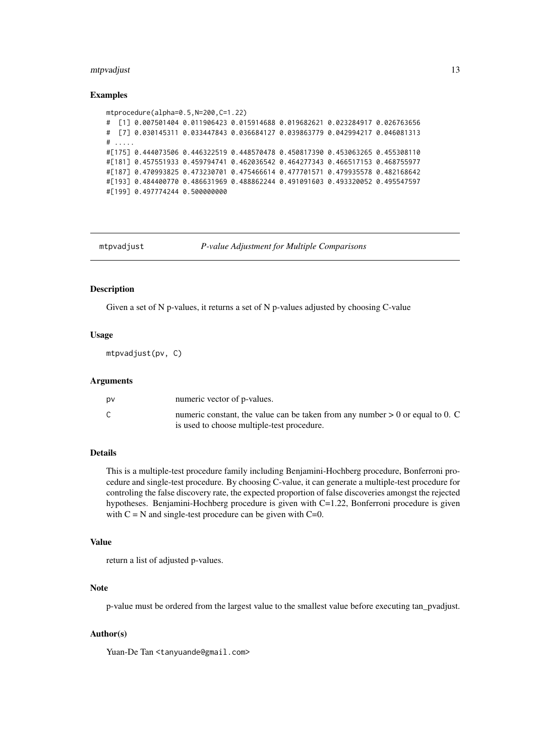#### <span id="page-12-0"></span>mtpvadjust 13

#### Examples

```
mtprocedure(alpha=0.5,N=200,C=1.22)
# [1] 0.007501404 0.011906423 0.015914688 0.019682621 0.023284917 0.026763656
# [7] 0.030145311 0.033447843 0.036684127 0.039863779 0.042994217 0.046081313
# .....
#[175] 0.444073506 0.446322519 0.448570478 0.450817390 0.453063265 0.455308110
#[181] 0.457551933 0.459794741 0.462036542 0.464277343 0.466517153 0.468755977
#[187] 0.470993825 0.473230701 0.475466614 0.477701571 0.479935578 0.482168642
#[193] 0.484400770 0.486631969 0.488862244 0.491091603 0.493320052 0.495547597
#[199] 0.497774244 0.500000000
```
<span id="page-12-1"></span>

mtpvadjust *P-value Adjustment for Multiple Comparisons*

# Description

Given a set of N p-values, it returns a set of N p-values adjusted by choosing C-value

#### Usage

mtpvadjust(pv, C)

#### Arguments

| D٧ | numeric vector of p-values.                                                                                                   |
|----|-------------------------------------------------------------------------------------------------------------------------------|
|    | numeric constant, the value can be taken from any number $> 0$ or equal to 0. C<br>is used to choose multiple-test procedure. |

#### Details

This is a multiple-test procedure family including Benjamini-Hochberg procedure, Bonferroni procedure and single-test procedure. By choosing C-value, it can generate a multiple-test procedure for controling the false discovery rate, the expected proportion of false discoveries amongst the rejected hypotheses. Benjamini-Hochberg procedure is given with C=1.22, Bonferroni procedure is given with  $C = N$  and single-test procedure can be given with  $C=0$ .

#### Value

return a list of adjusted p-values.

# Note

p-value must be ordered from the largest value to the smallest value before executing tan\_pvadjust.

#### Author(s)

Yuan-De Tan <tanyuande@gmail.com>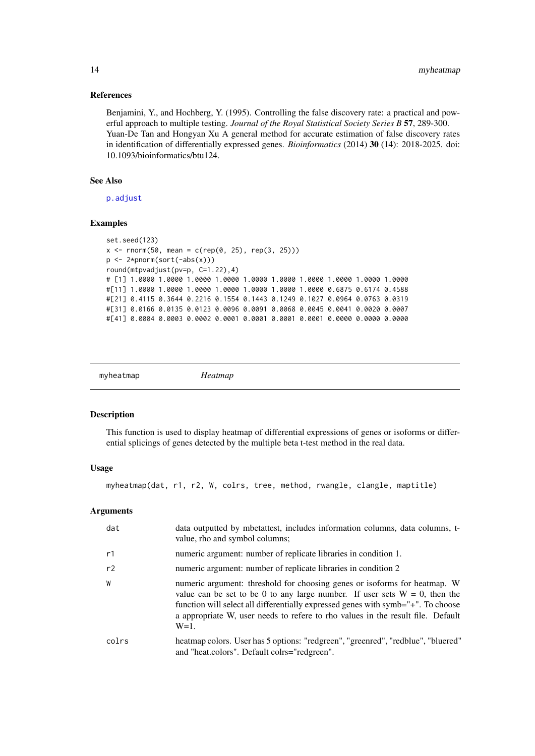#### References

Benjamini, Y., and Hochberg, Y. (1995). Controlling the false discovery rate: a practical and powerful approach to multiple testing. *Journal of the Royal Statistical Society Series B* 57, 289-300. Yuan-De Tan and Hongyan Xu A general method for accurate estimation of false discovery rates in identification of differentially expressed genes. *Bioinformatics* (2014) 30 (14): 2018-2025. doi: 10.1093/bioinformatics/btu124.

# See Also

[p.adjust](#page-0-0)

# Examples

```
set.seed(123)
x \le rnorm(50, mean = c(rep(0, 25), rep(3, 25)))
p <- 2*pnorm(sort(-abs(x)))
round(mtpvadjust(pv=p, C=1.22),4)
# [1] 1.0000 1.0000 1.0000 1.0000 1.0000 1.0000 1.0000 1.0000 1.0000 1.0000
#[11] 1.0000 1.0000 1.0000 1.0000 1.0000 1.0000 1.0000 0.6875 0.6174 0.4588
#[21] 0.4115 0.3644 0.2216 0.1554 0.1443 0.1249 0.1027 0.0964 0.0763 0.0319
#[31] 0.0166 0.0135 0.0123 0.0096 0.0091 0.0068 0.0045 0.0041 0.0020 0.0007
#[41] 0.0004 0.0003 0.0002 0.0001 0.0001 0.0001 0.0001 0.0000 0.0000 0.0000
```
<span id="page-13-1"></span>

| myheatmap |  |
|-----------|--|
|-----------|--|

```
myheatmap Heatmap
```
#### Description

This function is used to display heatmap of differential expressions of genes or isoforms or differential splicings of genes detected by the multiple beta t-test method in the real data.

# Usage

myheatmap(dat, r1, r2, W, colrs, tree, method, rwangle, clangle, maptitle)

#### Arguments

| dat   | data outputted by mbetattest, includes information columns, data columns, t-<br>value, rho and symbol columns;                                                                                                                                                                                                                               |
|-------|----------------------------------------------------------------------------------------------------------------------------------------------------------------------------------------------------------------------------------------------------------------------------------------------------------------------------------------------|
| r1    | numeric argument: number of replicate libraries in condition 1.                                                                                                                                                                                                                                                                              |
| r2    | numeric argument: number of replicate libraries in condition 2                                                                                                                                                                                                                                                                               |
| W     | numeric argument: threshold for choosing genes or isoforms for heatmap. W<br>value can be set to be 0 to any large number. If user sets $W = 0$ , then the<br>function will select all differentially expressed genes with symb="+". To choose<br>a appropriate W, user needs to refere to rho values in the result file. Default<br>$W=1$ . |
| colrs | heatmap colors. User has 5 options: "redgreen", "greenred", "redblue", "bluered"<br>and "heat.colors". Default colrs="redgreen".                                                                                                                                                                                                             |

<span id="page-13-0"></span>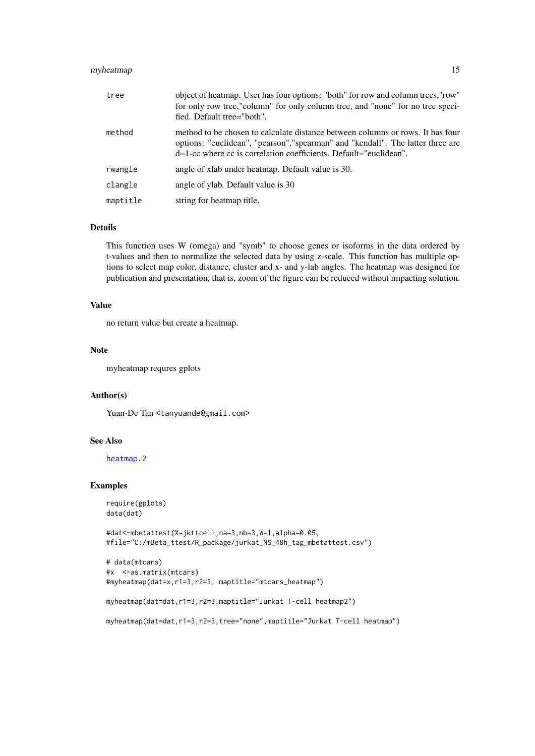#### <span id="page-14-0"></span>myheatmap 15

| tree     | object of heatmap. User has four options: "both" for row and column trees, "row"<br>for only row tree,"column" for only column tree, and "none" for no tree speci-<br>fied. Default tree="both".                                       |
|----------|----------------------------------------------------------------------------------------------------------------------------------------------------------------------------------------------------------------------------------------|
| method   | method to be chosen to calculate distance between columns or rows. It has four<br>options: "euclidean", "pearson", "spearman" and "kendall". The latter three are<br>d=1-cc where cc is correlation coefficients. Default="euclidean". |
| rwangle  | angle of xlab under heatmap. Default value is 30.                                                                                                                                                                                      |
| clangle  | angle of ylab. Default value is 30                                                                                                                                                                                                     |
| maptitle | string for heatmap title.                                                                                                                                                                                                              |

# Details

This function uses W (omega) and "symb" to choose genes or isoforms in the data ordered by t-values and then to normalize the selected data by using z-scale. This function has multiple options to select map color, distance, cluster and x- and y-lab angles. The heatmap was designed for publication and presentation, that is, zoom of the figure can be reduced without impacting solution.

#### Value

no return value but create a heatmap.

# Note

myheatmap requres gplots

#### Author(s)

Yuan-De Tan <tanyuande@gmail.com>

#### See Also

[heatmap.2](#page-0-0)

# Examples

```
require(gplots)
data(dat)
```

```
#dat<-mbetattest(X=jkttcell,na=3,nb=3,W=1,alpha=0.05,
#file="C:/mBeta_ttest/R_package/jurkat_NS_48h_tag_mbetattest.csv")
```

```
# data(mtcars)
#x <-as.matrix(mtcars)
#myheatmap(dat=x,r1=3,r2=3, maptitle="mtcars_heatmap")
myheatmap(dat=dat,r1=3,r2=3,maptitle="Jurkat T-cell heatmap2")
myheatmap(dat=dat,r1=3,r2=3,tree="none",maptitle="Jurkat T-cell heatmap")
```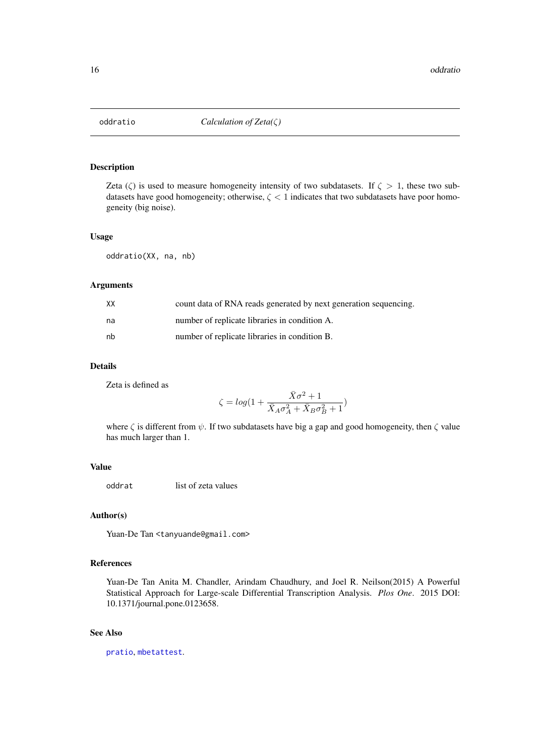<span id="page-15-1"></span><span id="page-15-0"></span>

# Description

Zeta ( $\zeta$ ) is used to measure homogeneity intensity of two subdatasets. If  $\zeta > 1$ , these two subdatasets have good homogeneity; otherwise,  $\zeta$  < 1 indicates that two subdatasets have poor homogeneity (big noise).

#### Usage

oddratio(XX, na, nb)

# Arguments

| XХ | count data of RNA reads generated by next generation sequencing. |
|----|------------------------------------------------------------------|
| na | number of replicate libraries in condition A.                    |
| nb | number of replicate libraries in condition B.                    |

#### Details

Zeta is defined as

$$
\zeta = log\big(1 + \frac{\bar{X}\sigma^2 + 1}{\bar{X}_A\sigma_A^2 + \bar{X}_B\sigma_B^2 + 1}\big)
$$

where  $\zeta$  is different from  $\psi$ . If two subdatasets have big a gap and good homogeneity, then  $\zeta$  value has much larger than 1.

# Value

oddrat list of zeta values

# Author(s)

Yuan-De Tan <tanyuande@gmail.com>

# References

Yuan-De Tan Anita M. Chandler, Arindam Chaudhury, and Joel R. Neilson(2015) A Powerful Statistical Approach for Large-scale Differential Transcription Analysis. *Plos One*. 2015 DOI: 10.1371/journal.pone.0123658.

# See Also

[pratio](#page-16-1), [mbetattest](#page-9-1).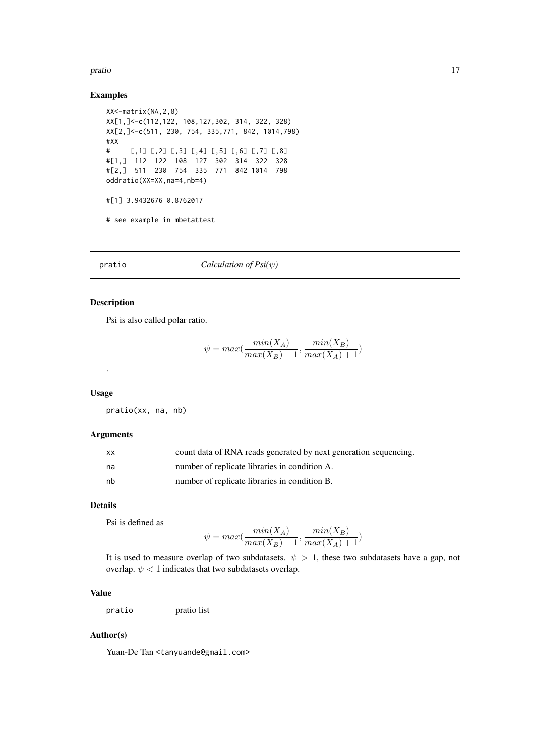#### <span id="page-16-0"></span>pratio and the contract of the contract of the contract of the contract of the contract of the contract of the contract of the contract of the contract of the contract of the contract of the contract of the contract of the

# Examples

```
XX<-matrix(NA,2,8)
XX[1,]<-c(112,122, 108,127,302, 314, 322, 328)
XX[2,]<-c(511, 230, 754, 335,771, 842, 1014,798)
#XX
# [,1] [,2] [,3] [,4] [,5] [,6] [,7] [,8]
#[1,] 112 122 108 127 302 314 322 328
#[2,] 511 230 754 335 771 842 1014 798
oddratio(XX=XX,na=4,nb=4)
#[1] 3.9432676 0.8762017
# see example in mbetattest
```
<span id="page-16-1"></span>pratio *Calculation of Psi(*ψ*)*

# Description

Psi is also called polar ratio.

$$
\psi = max(\frac{min(X_A)}{max(X_B) + 1}, \frac{min(X_B)}{max(X_A) + 1})
$$

#### Usage

.

pratio(xx, na, nb)

# Arguments

| <b>XX</b> | count data of RNA reads generated by next generation sequencing. |
|-----------|------------------------------------------------------------------|
| na        | number of replicate libraries in condition A.                    |
| nb        | number of replicate libraries in condition B.                    |

# Details

Psi is defined as

$$
\psi = \max(\frac{\min(X_A)}{\max(X_B) + 1}, \frac{\min(X_B)}{\max(X_A) + 1})
$$

It is used to measure overlap of two subdatasets.  $\psi > 1$ , these two subdatasets have a gap, not overlap.  $\psi$  < 1 indicates that two subdatasets overlap.

# Value

pratio pratio list

# Author(s)

Yuan-De Tan <tanyuande@gmail.com>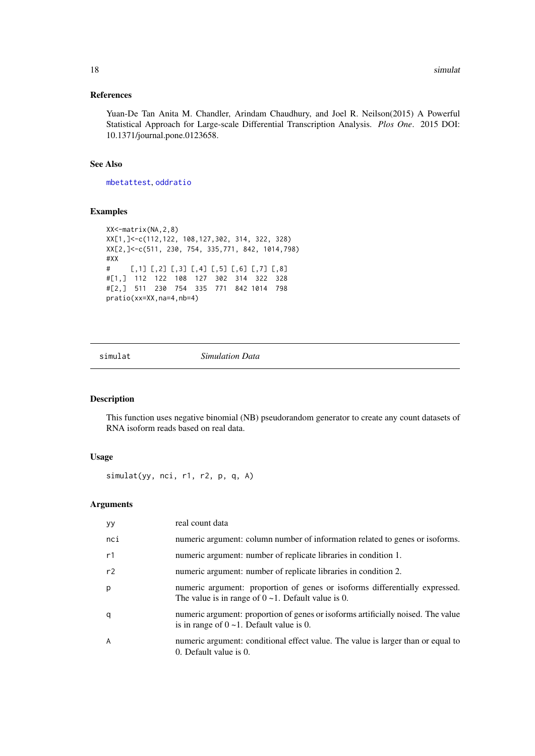# <span id="page-17-0"></span>References

Yuan-De Tan Anita M. Chandler, Arindam Chaudhury, and Joel R. Neilson(2015) A Powerful Statistical Approach for Large-scale Differential Transcription Analysis. *Plos One*. 2015 DOI: 10.1371/journal.pone.0123658.

### See Also

[mbetattest](#page-9-1), [oddratio](#page-15-1)

# Examples

```
XX<-matrix(NA,2,8)
XX[1,]<-c(112,122, 108,127,302, 314, 322, 328)
XX[2,]<-c(511, 230, 754, 335,771, 842, 1014,798)
#XX
# [,1] [,2] [,3] [,4] [,5] [,6] [,7] [,8]
#[1,] 112 122 108 127 302 314 322 328
#[2,] 511 230 754 335 771 842 1014 798
pratio(xx=XX,na=4,nb=4)
```
<span id="page-17-1"></span>

simulat *Simulation Data*

# Description

This function uses negative binomial (NB) pseudorandom generator to create any count datasets of RNA isoform reads based on real data.

# Usage

simulat(yy, nci, r1, r2, p, q, A)

# Arguments

| <b>VY</b> | real count data                                                                                                                          |
|-----------|------------------------------------------------------------------------------------------------------------------------------------------|
| nci       | numeric argument: column number of information related to genes or isoforms.                                                             |
| r1        | numeric argument: number of replicate libraries in condition 1.                                                                          |
| r2        | numeric argument: number of replicate libraries in condition 2.                                                                          |
| p         | numeric argument: proportion of genes or isoforms differentially expressed.<br>The value is in range of $0 \sim 1$ . Default value is 0. |
| q         | numeric argument: proportion of genes or isoforms artificially noised. The value<br>is in range of $0 \sim 1$ . Default value is 0.      |
| A         | numeric argument: conditional effect value. The value is larger than or equal to<br>0. Default value is 0.                               |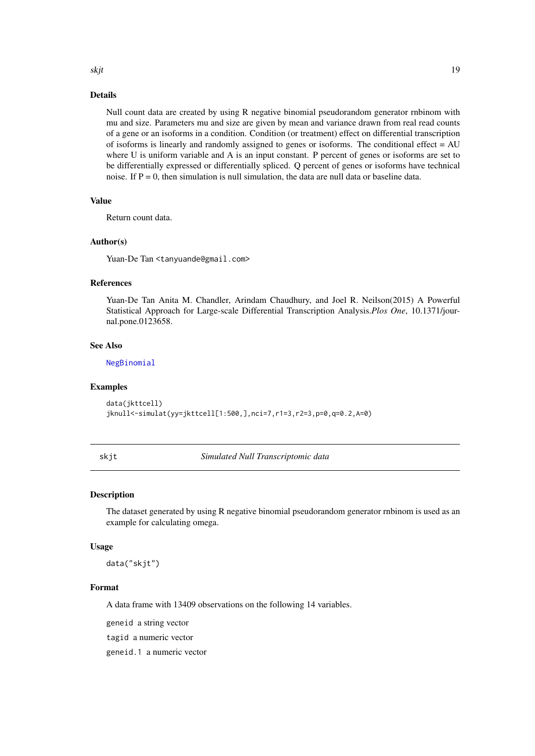# <span id="page-18-0"></span>skjt te beskje te beskje te beskje te beskje te beskje te beskje te beskje te beskje te beskje te beskje te be

#### Details

Null count data are created by using R negative binomial pseudorandom generator rnbinom with mu and size. Parameters mu and size are given by mean and variance drawn from real read counts of a gene or an isoforms in a condition. Condition (or treatment) effect on differential transcription of isoforms is linearly and randomly assigned to genes or isoforms. The conditional effect = AU where U is uniform variable and A is an input constant. P percent of genes or isoforms are set to be differentially expressed or differentially spliced. Q percent of genes or isoforms have technical noise. If  $P = 0$ , then simulation is null simulation, the data are null data or baseline data.

# Value

Return count data.

# Author(s)

Yuan-De Tan <tanyuande@gmail.com>

#### References

Yuan-De Tan Anita M. Chandler, Arindam Chaudhury, and Joel R. Neilson(2015) A Powerful Statistical Approach for Large-scale Differential Transcription Analysis.*Plos One*, 10.1371/journal.pone.0123658.

#### See Also

[NegBinomial](#page-0-0)

#### Examples

```
data(jkttcell)
jknull<-simulat(yy=jkttcell[1:500,],nci=7,r1=3,r2=3,p=0,q=0.2,A=0)
```
skjt *Simulated Null Transcriptomic data*

#### Description

The dataset generated by using R negative binomial pseudorandom generator rnbinom is used as an example for calculating omega.

#### Usage

data("skjt")

# Format

A data frame with 13409 observations on the following 14 variables.

geneid a string vector

tagid a numeric vector

geneid.1 a numeric vector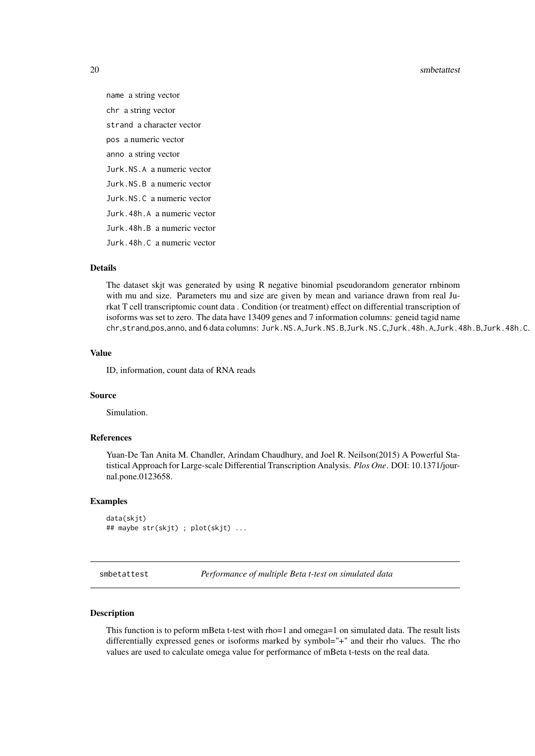<span id="page-19-0"></span>20 smbetattest and the state of the state of the state state state state state state state state state state state state state state state state state state state state state state state state state state state state state

name a string vector chr a string vector strand a character vector pos a numeric vector anno a string vector Jurk.NS.A a numeric vector Jurk.NS.B a numeric vector Jurk.NS.C a numeric vector Jurk.48h.A a numeric vector Jurk.48h.B a numeric vector Jurk.48h.C a numeric vector

# Details

The dataset skjt was generated by using R negative binomial pseudorandom generator rnbinom with mu and size. Parameters mu and size are given by mean and variance drawn from real Jurkat T cell transcriptomic count data . Condition (or treatment) effect on differential transcription of isoforms was set to zero. The data have 13409 genes and 7 information columns: geneid tagid name chr,strand,pos,anno, and 6 data columns: Jurk.NS.A,Jurk.NS.B,Jurk.NS.C,Jurk.48h.A,Jurk.48h.B,Jurk.48h.C.

# Value

ID, information, count data of RNA reads

#### Source

Simulation.

#### References

Yuan-De Tan Anita M. Chandler, Arindam Chaudhury, and Joel R. Neilson(2015) A Powerful Statistical Approach for Large-scale Differential Transcription Analysis. *Plos One*. DOI: 10.1371/journal.pone.0123658.

#### Examples

data(skjt) ## maybe str(skjt) ; plot(skjt) ...

<span id="page-19-1"></span>smbetattest *Performance of multiple Beta t-test on simulated data*

# Description

This function is to peform mBeta t-test with rho=1 and omega=1 on simulated data. The result lists differentially expressed genes or isoforms marked by symbol="+" and their rho values. The rho values are used to calculate omega value for performance of mBeta t-tests on the real data.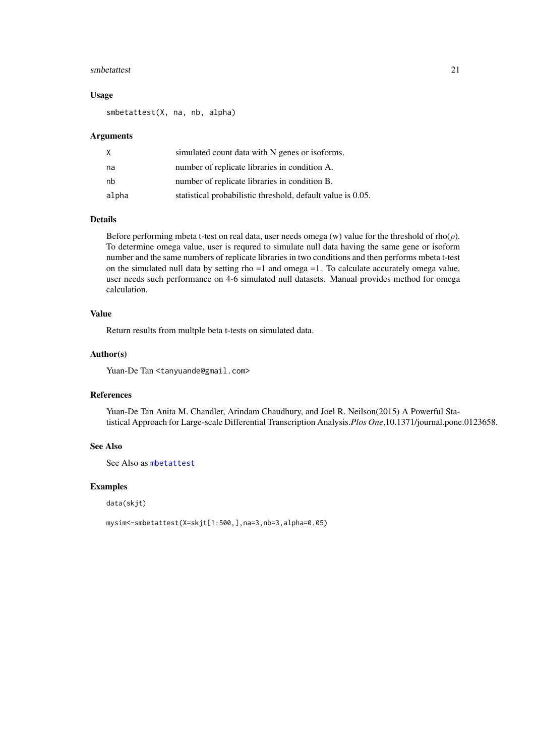#### <span id="page-20-0"></span>smbetattest 21

#### Usage

smbetattest(X, na, nb, alpha)

# Arguments

| X     | simulated count data with N genes or isoforms.              |
|-------|-------------------------------------------------------------|
| na    | number of replicate libraries in condition A.               |
| nb    | number of replicate libraries in condition B.               |
| alpha | statistical probabilistic threshold, default value is 0.05. |

#### Details

Before performing mbeta t-test on real data, user needs omega (w) value for the threshold of rho( $\rho$ ). To determine omega value, user is requred to simulate null data having the same gene or isoform number and the same numbers of replicate libraries in two conditions and then performs mbeta t-test on the simulated null data by setting rho =1 and omega =1. To calculate accurately omega value, user needs such performance on 4-6 simulated null datasets. Manual provides method for omega calculation.

# Value

Return results from multple beta t-tests on simulated data.

#### Author(s)

Yuan-De Tan <tanyuande@gmail.com>

#### References

Yuan-De Tan Anita M. Chandler, Arindam Chaudhury, and Joel R. Neilson(2015) A Powerful Statistical Approach for Large-scale Differential Transcription Analysis.*Plos One*,10.1371/journal.pone.0123658.

#### See Also

See Also as [mbetattest](#page-9-1)

#### Examples

data(skjt)

mysim<-smbetattest(X=skjt[1:500,],na=3,nb=3,alpha=0.05)